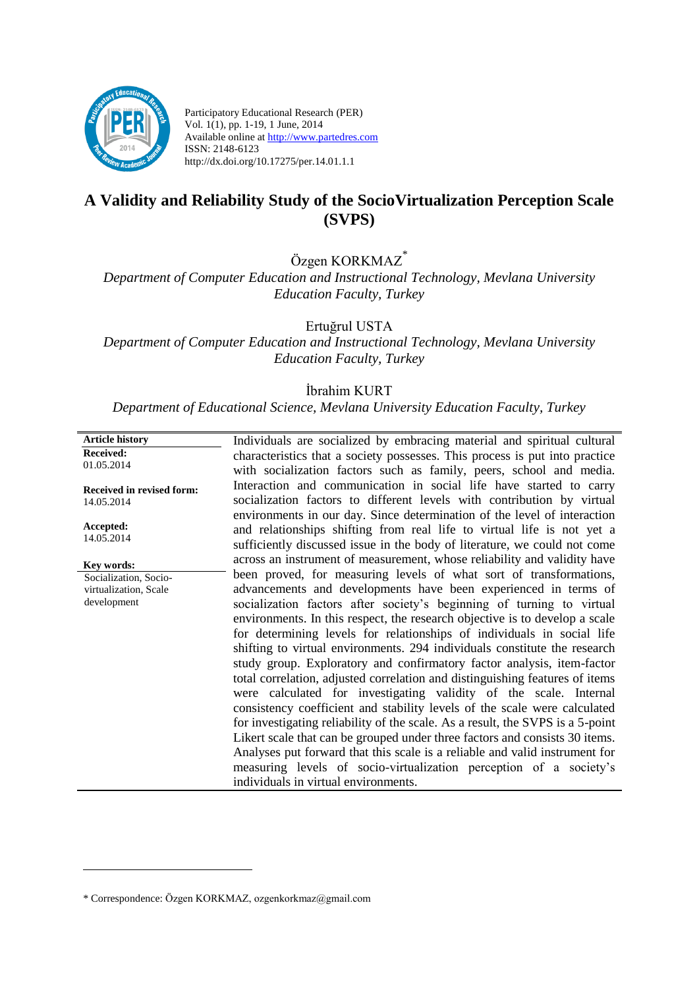

Participatory Educational Research (PER) Vol. 1(1), pp. 1-19, 1 June, 2014 Available online at http://www.partedres.com ISSN: 2148-6123 http://dx.doi.org/10.17275/per.14.01.1.1

# **A Validity and Reliability Study of the SocioVirtualization Perception Scale (SVPS)**

Özgen KORKMAZ\*

*Department of Computer Education and Instructional Technology, Mevlana University Education Faculty, Turkey*

Ertuğrul USTA

*Department of Computer Education and Instructional Technology, Mevlana University Education Faculty, Turkey*

#### İbrahim KURT

*Department of Educational Science, Mevlana University Education Faculty, Turkey*

| <b>Article history</b>                  | Individuals are socialized by embracing material and spiritual cultural                                                                      |
|-----------------------------------------|----------------------------------------------------------------------------------------------------------------------------------------------|
| <b>Received:</b>                        | characteristics that a society possesses. This process is put into practice                                                                  |
| 01.05.2014                              | with socialization factors such as family, peers, school and media.                                                                          |
| Received in revised form:<br>14.05.2014 | Interaction and communication in social life have started to carry<br>socialization factors to different levels with contribution by virtual |
|                                         | environments in our day. Since determination of the level of interaction                                                                     |
| Accepted:                               | and relationships shifting from real life to virtual life is not yet a                                                                       |
| 14.05.2014                              | sufficiently discussed issue in the body of literature, we could not come                                                                    |
| Key words:                              | across an instrument of measurement, whose reliability and validity have                                                                     |
| Socialization, Socio-                   | been proved, for measuring levels of what sort of transformations,                                                                           |
| virtualization, Scale                   | advancements and developments have been experienced in terms of                                                                              |
| development                             | socialization factors after society's beginning of turning to virtual                                                                        |
|                                         | environments. In this respect, the research objective is to develop a scale                                                                  |
|                                         | for determining levels for relationships of individuals in social life                                                                       |
|                                         | shifting to virtual environments. 294 individuals constitute the research                                                                    |
|                                         | study group. Exploratory and confirmatory factor analysis, item-factor                                                                       |
|                                         | total correlation, adjusted correlation and distinguishing features of items                                                                 |
|                                         | were calculated for investigating validity of the scale. Internal                                                                            |
|                                         | consistency coefficient and stability levels of the scale were calculated                                                                    |
|                                         | for investigating reliability of the scale. As a result, the SVPS is a 5-point                                                               |
|                                         | Likert scale that can be grouped under three factors and consists 30 items.                                                                  |
|                                         | Analyses put forward that this scale is a reliable and valid instrument for                                                                  |
|                                         | measuring levels of socio-virtualization perception of a society's                                                                           |
|                                         | individuals in virtual environments.                                                                                                         |

<u>.</u>

<sup>\*</sup> Correspondence: Özgen KORKMAZ, ozgenkorkmaz@gmail.com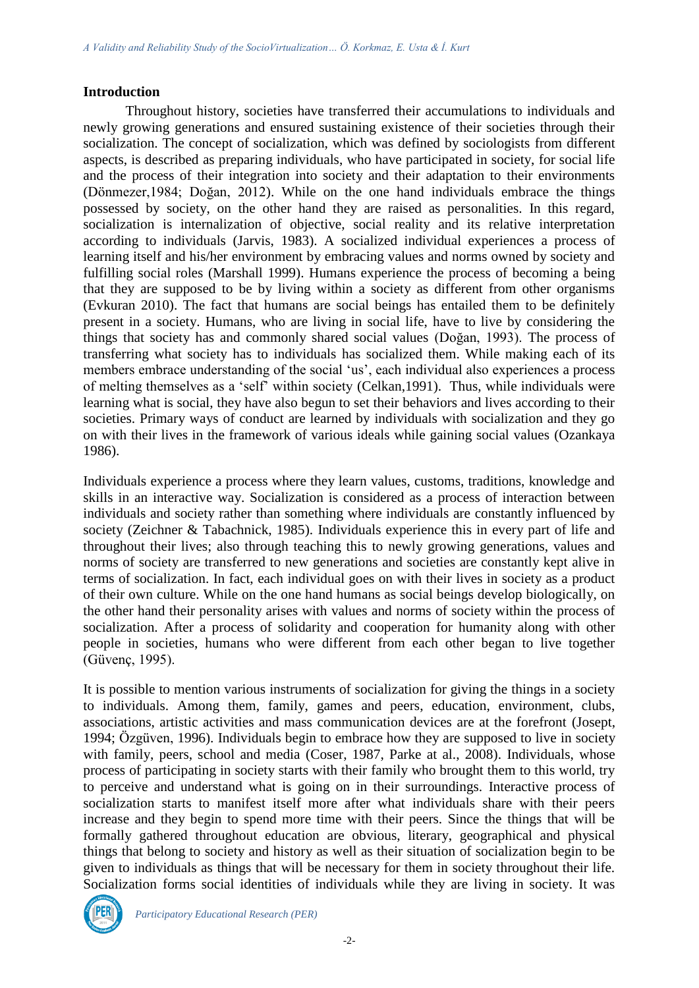## **Introduction**

Throughout history, societies have transferred their accumulations to individuals and newly growing generations and ensured sustaining existence of their societies through their socialization. The concept of socialization, which was defined by sociologists from different aspects, is described as preparing individuals, who have participated in society, for social life and the process of their integration into society and their adaptation to their environments (Dönmezer,1984; Doğan, 2012). While on the one hand individuals embrace the things possessed by society, on the other hand they are raised as personalities. In this regard, socialization is internalization of objective, social reality and its relative interpretation according to individuals (Jarvis, 1983). A socialized individual experiences a process of learning itself and his/her environment by embracing values and norms owned by society and fulfilling social roles (Marshall 1999). Humans experience the process of becoming a being that they are supposed to be by living within a society as different from other organisms (Evkuran 2010). The fact that humans are social beings has entailed them to be definitely present in a society. Humans, who are living in social life, have to live by considering the things that society has and commonly shared social values (Doğan, 1993). The process of transferring what society has to individuals has socialized them. While making each of its members embrace understanding of the social 'us', each individual also experiences a process of melting themselves as a 'self' within society (Celkan,1991). Thus, while individuals were learning what is social, they have also begun to set their behaviors and lives according to their societies. Primary ways of conduct are learned by individuals with socialization and they go on with their lives in the framework of various ideals while gaining social values (Ozankaya 1986).

Individuals experience a process where they learn values, customs, traditions, knowledge and skills in an interactive way. Socialization is considered as a process of interaction between individuals and society rather than something where individuals are constantly influenced by society (Zeichner & Tabachnick, 1985). Individuals experience this in every part of life and throughout their lives; also through teaching this to newly growing generations, values and norms of society are transferred to new generations and societies are constantly kept alive in terms of socialization. In fact, each individual goes on with their lives in society as a product of their own culture. While on the one hand humans as social beings develop biologically, on the other hand their personality arises with values and norms of society within the process of socialization. After a process of solidarity and cooperation for humanity along with other people in societies, humans who were different from each other began to live together (Güvenç, 1995).

It is possible to mention various instruments of socialization for giving the things in a society to individuals. Among them, family, games and peers, education, environment, clubs, associations, artistic activities and mass communication devices are at the forefront (Josept, 1994; Özgüven, 1996). Individuals begin to embrace how they are supposed to live in society with family, peers, school and media (Coser, 1987, Parke at al., 2008). Individuals, whose process of participating in society starts with their family who brought them to this world, try to perceive and understand what is going on in their surroundings. Interactive process of socialization starts to manifest itself more after what individuals share with their peers increase and they begin to spend more time with their peers. Since the things that will be formally gathered throughout education are obvious, literary, geographical and physical things that belong to society and history as well as their situation of socialization begin to be given to individuals as things that will be necessary for them in society throughout their life. Socialization forms social identities of individuals while they are living in society. It was

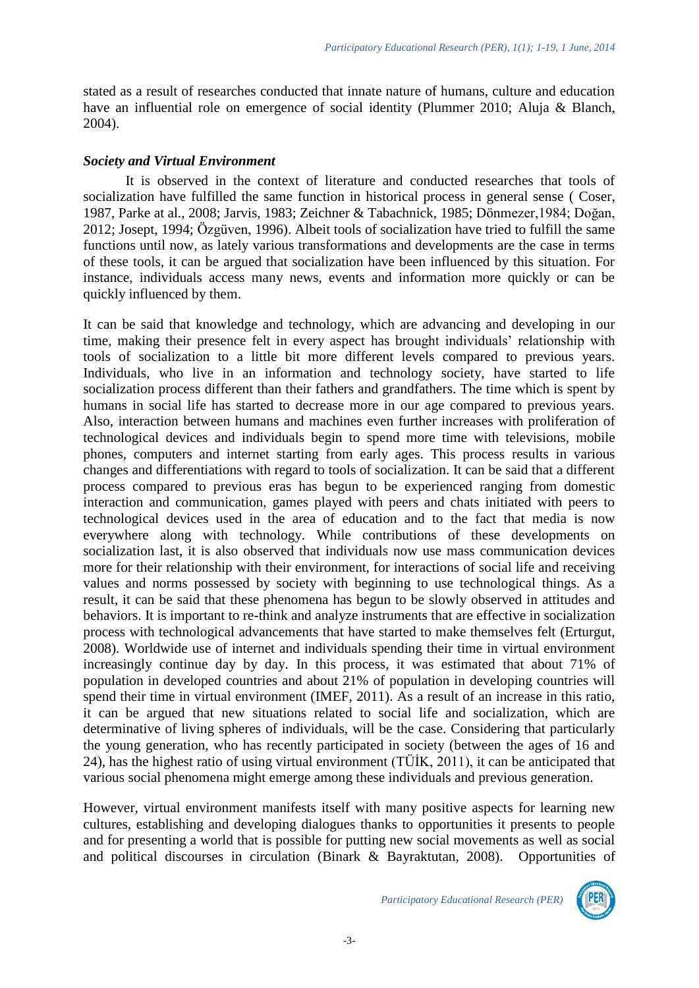stated as a result of researches conducted that innate nature of humans, culture and education have an influential role on emergence of social identity (Plummer 2010; Aluja & Blanch, 2004).

#### *Society and Virtual Environment*

It is observed in the context of literature and conducted researches that tools of socialization have fulfilled the same function in historical process in general sense ( Coser, 1987, Parke at al., 2008; Jarvis, 1983; Zeichner & Tabachnick, 1985; Dönmezer,1984; Doğan, 2012; Josept, 1994; Özgüven, 1996). Albeit tools of socialization have tried to fulfill the same functions until now, as lately various transformations and developments are the case in terms of these tools, it can be argued that socialization have been influenced by this situation. For instance, individuals access many news, events and information more quickly or can be quickly influenced by them.

It can be said that knowledge and technology, which are advancing and developing in our time, making their presence felt in every aspect has brought individuals' relationship with tools of socialization to a little bit more different levels compared to previous years. Individuals, who live in an information and technology society, have started to life socialization process different than their fathers and grandfathers. The time which is spent by humans in social life has started to decrease more in our age compared to previous years. Also, interaction between humans and machines even further increases with proliferation of technological devices and individuals begin to spend more time with televisions, mobile phones, computers and internet starting from early ages. This process results in various changes and differentiations with regard to tools of socialization. It can be said that a different process compared to previous eras has begun to be experienced ranging from domestic interaction and communication, games played with peers and chats initiated with peers to technological devices used in the area of education and to the fact that media is now everywhere along with technology. While contributions of these developments on socialization last, it is also observed that individuals now use mass communication devices more for their relationship with their environment, for interactions of social life and receiving values and norms possessed by society with beginning to use technological things. As a result, it can be said that these phenomena has begun to be slowly observed in attitudes and behaviors. It is important to re-think and analyze instruments that are effective in socialization process with technological advancements that have started to make themselves felt (Erturgut, 2008). Worldwide use of internet and individuals spending their time in virtual environment increasingly continue day by day. In this process, it was estimated that about 71% of population in developed countries and about 21% of population in developing countries will spend their time in virtual environment (IMEF, 2011). As a result of an increase in this ratio, it can be argued that new situations related to social life and socialization, which are determinative of living spheres of individuals, will be the case. Considering that particularly the young generation, who has recently participated in society (between the ages of 16 and 24), has the highest ratio of using virtual environment (TÜİK, 2011), it can be anticipated that various social phenomena might emerge among these individuals and previous generation.

However, virtual environment manifests itself with many positive aspects for learning new cultures, establishing and developing dialogues thanks to opportunities it presents to people and for presenting a world that is possible for putting new social movements as well as social and political discourses in circulation (Binark & Bayraktutan, 2008).Opportunities of

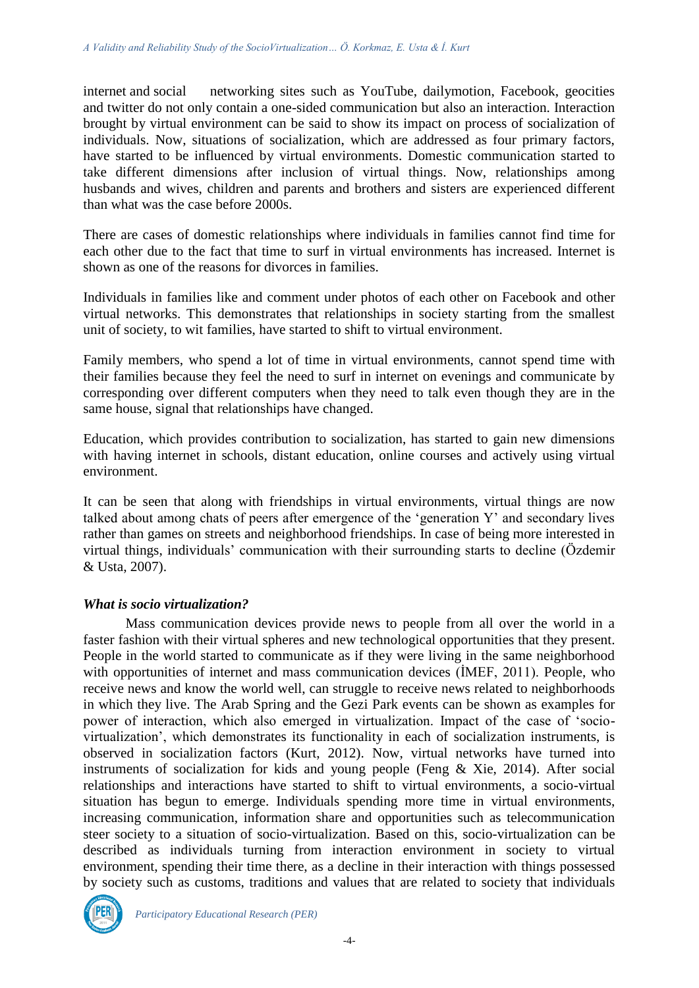internet and social networking sites such as YouTube, dailymotion, Facebook, geocities and twitter do not only contain a one-sided communication but also an interaction. Interaction brought by virtual environment can be said to show its impact on process of socialization of individuals. Now, situations of socialization, which are addressed as four primary factors, have started to be influenced by virtual environments. Domestic communication started to take different dimensions after inclusion of virtual things. Now, relationships among husbands and wives, children and parents and brothers and sisters are experienced different than what was the case before 2000s.

There are cases of domestic relationships where individuals in families cannot find time for each other due to the fact that time to surf in virtual environments has increased. Internet is shown as one of the reasons for divorces in families.

Individuals in families like and comment under photos of each other on Facebook and other virtual networks. This demonstrates that relationships in society starting from the smallest unit of society, to wit families, have started to shift to virtual environment.

Family members, who spend a lot of time in virtual environments, cannot spend time with their families because they feel the need to surf in internet on evenings and communicate by corresponding over different computers when they need to talk even though they are in the same house, signal that relationships have changed.

Education, which provides contribution to socialization, has started to gain new dimensions with having internet in schools, distant education, online courses and actively using virtual environment.

It can be seen that along with friendships in virtual environments, virtual things are now talked about among chats of peers after emergence of the 'generation Y' and secondary lives rather than games on streets and neighborhood friendships. In case of being more interested in virtual things, individuals' communication with their surrounding starts to decline (Özdemir & Usta, 2007).

#### *What is socio virtualization?*

Mass communication devices provide news to people from all over the world in a faster fashion with their virtual spheres and new technological opportunities that they present. People in the world started to communicate as if they were living in the same neighborhood with opportunities of internet and mass communication devices (İMEF, 2011). People, who receive news and know the world well, can struggle to receive news related to neighborhoods in which they live. The Arab Spring and the Gezi Park events can be shown as examples for power of interaction, which also emerged in virtualization. Impact of the case of 'sociovirtualization', which demonstrates its functionality in each of socialization instruments, is observed in socialization factors (Kurt, 2012). Now, virtual networks have turned into instruments of socialization for kids and young people (Feng & Xie, 2014). After social relationships and interactions have started to shift to virtual environments, a socio-virtual situation has begun to emerge. Individuals spending more time in virtual environments, increasing communication, information share and opportunities such as telecommunication steer society to a situation of socio-virtualization. Based on this, socio-virtualization can be described as individuals turning from interaction environment in society to virtual environment, spending their time there, as a decline in their interaction with things possessed by society such as customs, traditions and values that are related to society that individuals

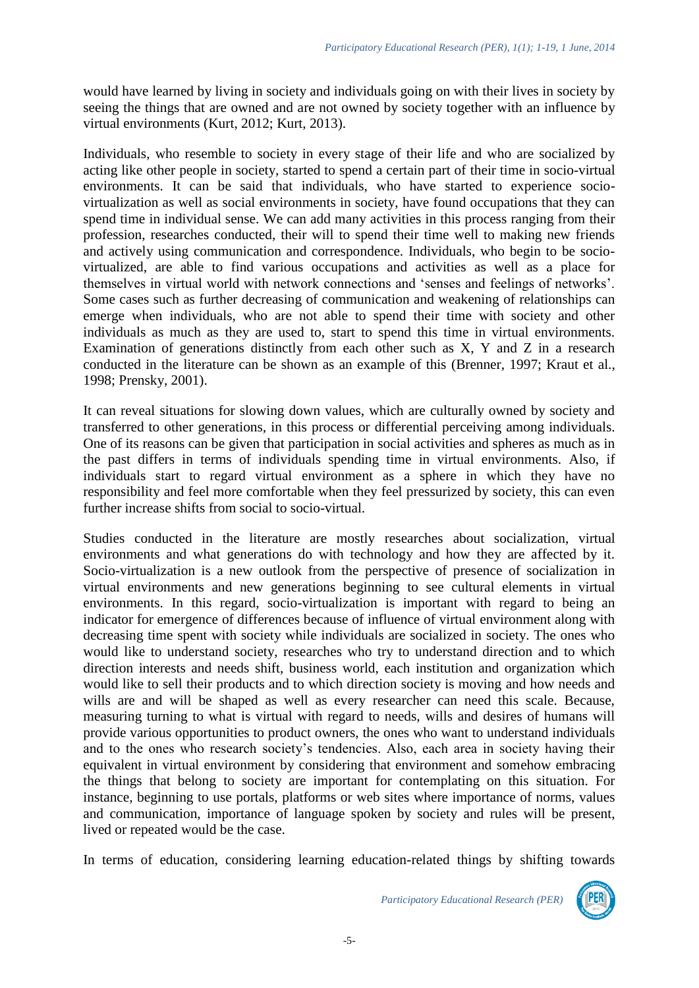would have learned by living in society and individuals going on with their lives in society by seeing the things that are owned and are not owned by society together with an influence by virtual environments (Kurt, 2012; Kurt, 2013).

Individuals, who resemble to society in every stage of their life and who are socialized by acting like other people in society, started to spend a certain part of their time in socio-virtual environments. It can be said that individuals, who have started to experience sociovirtualization as well as social environments in society, have found occupations that they can spend time in individual sense. We can add many activities in this process ranging from their profession, researches conducted, their will to spend their time well to making new friends and actively using communication and correspondence. Individuals, who begin to be sociovirtualized, are able to find various occupations and activities as well as a place for themselves in virtual world with network connections and 'senses and feelings of networks'. Some cases such as further decreasing of communication and weakening of relationships can emerge when individuals, who are not able to spend their time with society and other individuals as much as they are used to, start to spend this time in virtual environments. Examination of generations distinctly from each other such as X, Y and Z in a research conducted in the literature can be shown as an example of this (Brenner, 1997; Kraut et al., 1998; Prensky, 2001).

It can reveal situations for slowing down values, which are culturally owned by society and transferred to other generations, in this process or differential perceiving among individuals. One of its reasons can be given that participation in social activities and spheres as much as in the past differs in terms of individuals spending time in virtual environments. Also, if individuals start to regard virtual environment as a sphere in which they have no responsibility and feel more comfortable when they feel pressurized by society, this can even further increase shifts from social to socio-virtual.

Studies conducted in the literature are mostly researches about socialization, virtual environments and what generations do with technology and how they are affected by it. Socio-virtualization is a new outlook from the perspective of presence of socialization in virtual environments and new generations beginning to see cultural elements in virtual environments. In this regard, socio-virtualization is important with regard to being an indicator for emergence of differences because of influence of virtual environment along with decreasing time spent with society while individuals are socialized in society. The ones who would like to understand society, researches who try to understand direction and to which direction interests and needs shift, business world, each institution and organization which would like to sell their products and to which direction society is moving and how needs and wills are and will be shaped as well as every researcher can need this scale. Because, measuring turning to what is virtual with regard to needs, wills and desires of humans will provide various opportunities to product owners, the ones who want to understand individuals and to the ones who research society's tendencies. Also, each area in society having their equivalent in virtual environment by considering that environment and somehow embracing the things that belong to society are important for contemplating on this situation. For instance, beginning to use portals, platforms or web sites where importance of norms, values and communication, importance of language spoken by society and rules will be present, lived or repeated would be the case.

In terms of education, considering learning education-related things by shifting towards

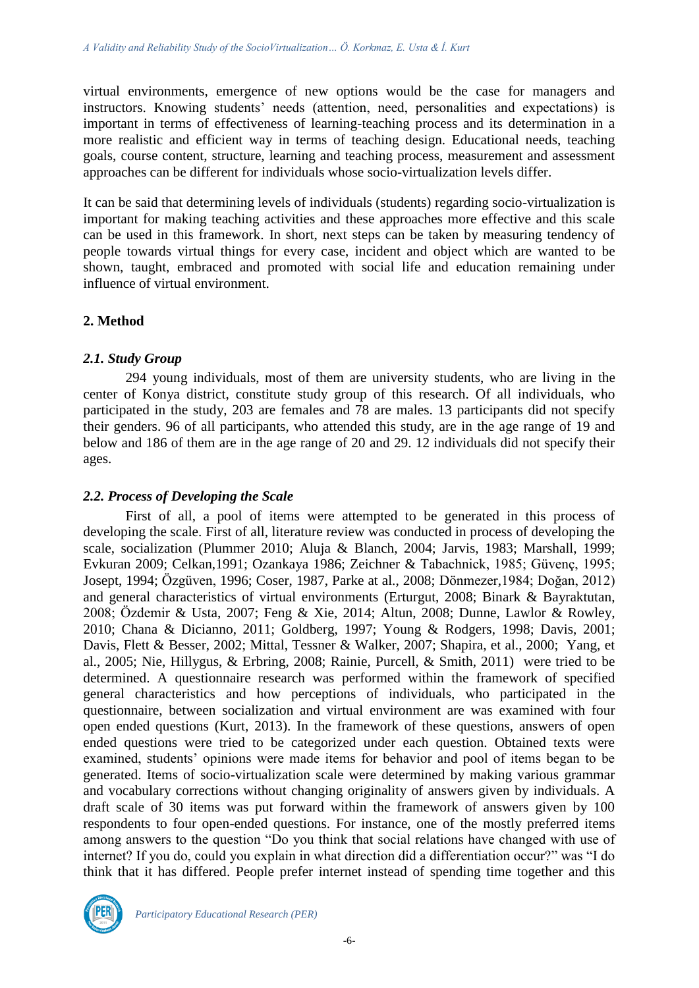virtual environments, emergence of new options would be the case for managers and instructors. Knowing students' needs (attention, need, personalities and expectations) is important in terms of effectiveness of learning-teaching process and its determination in a more realistic and efficient way in terms of teaching design. Educational needs, teaching goals, course content, structure, learning and teaching process, measurement and assessment approaches can be different for individuals whose socio-virtualization levels differ.

It can be said that determining levels of individuals (students) regarding socio-virtualization is important for making teaching activities and these approaches more effective and this scale can be used in this framework. In short, next steps can be taken by measuring tendency of people towards virtual things for every case, incident and object which are wanted to be shown, taught, embraced and promoted with social life and education remaining under influence of virtual environment.

## **2. Method**

## *2.1. Study Group*

294 young individuals, most of them are university students, who are living in the center of Konya district, constitute study group of this research. Of all individuals, who participated in the study, 203 are females and 78 are males. 13 participants did not specify their genders. 96 of all participants, who attended this study, are in the age range of 19 and below and 186 of them are in the age range of 20 and 29. 12 individuals did not specify their ages.

#### *2.2. Process of Developing the Scale*

First of all, a pool of items were attempted to be generated in this process of developing the scale. First of all, literature review was conducted in process of developing the scale, socialization (Plummer 2010; Aluja & [Blanch,](http://www.sciencedirect.com/science/article/pii/S0191886906000389#bib2) 2004; [Jarvis,](http://www.sciencedirect.com/science/article/pii/S0020748998000558#BIB15) 1983; Marshall, 1999; Evkuran 2009; Celkan,1991; Ozankaya 1986; Zeichner & Tabachnick, 1985; Güvenç, 1995; Josept, 1994; Özgüven, 1996; Coser, 1987, Parke at al., 2008; Dönmezer,1984; Doğan, 2012) and general characteristics of virtual environments (Erturgut, 2008; Binark & Bayraktutan, 2008; Özdemir & Usta, 2007; Feng & Xie, 2014; Altun, 2008; Dunne, Lawlor & Rowley, 2010; Chana & Dicianno, 2011; Goldberg, 1997; Young & Rodgers, 1998; Davis, 2001; Davis, Flett & Besser, 2002; Mittal, Tessner & Walker, 2007; Shapira, et al., 2000; Yang, et al., 2005; Nie, Hillygus, & Erbring, 2008; Rainie, Purcell, & Smith, 2011) were tried to be determined. A questionnaire research was performed within the framework of specified general characteristics and how perceptions of individuals, who participated in the questionnaire, between socialization and virtual environment are was examined with four open ended questions (Kurt, 2013). In the framework of these questions, answers of open ended questions were tried to be categorized under each question. Obtained texts were examined, students' opinions were made items for behavior and pool of items began to be generated. Items of socio-virtualization scale were determined by making various grammar and vocabulary corrections without changing originality of answers given by individuals. A draft scale of 30 items was put forward within the framework of answers given by 100 respondents to four open-ended questions. For instance, one of the mostly preferred items among answers to the question "Do you think that social relations have changed with use of internet? If you do, could you explain in what direction did a differentiation occur?" was "I do think that it has differed. People prefer internet instead of spending time together and this

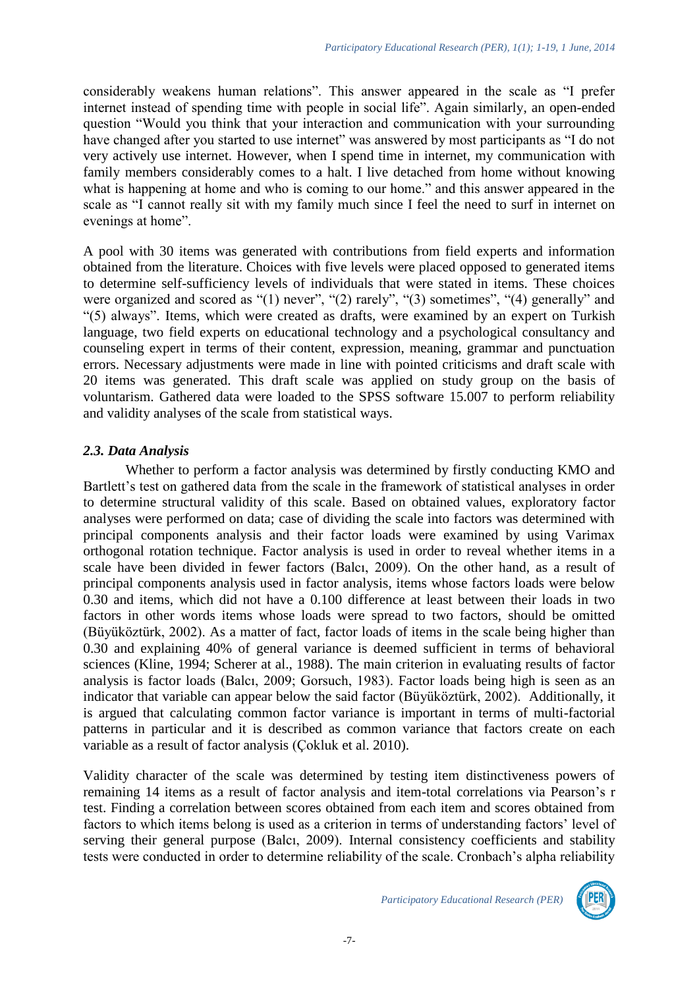considerably weakens human relations". This answer appeared in the scale as "I prefer internet instead of spending time with people in social life". Again similarly, an open-ended question "Would you think that your interaction and communication with your surrounding have changed after you started to use internet" was answered by most participants as "I do not very actively use internet. However, when I spend time in internet, my communication with family members considerably comes to a halt. I live detached from home without knowing what is happening at home and who is coming to our home." and this answer appeared in the scale as "I cannot really sit with my family much since I feel the need to surf in internet on evenings at home".

A pool with 30 items was generated with contributions from field experts and information obtained from the literature. Choices with five levels were placed opposed to generated items to determine self-sufficiency levels of individuals that were stated in items. These choices were organized and scored as "(1) never", "(2) rarely", "(3) sometimes", "(4) generally" and "(5) always". Items, which were created as drafts, were examined by an expert on Turkish language, two field experts on educational technology and a psychological consultancy and counseling expert in terms of their content, expression, meaning, grammar and punctuation errors. Necessary adjustments were made in line with pointed criticisms and draft scale with 20 items was generated. This draft scale was applied on study group on the basis of voluntarism. Gathered data were loaded to the SPSS software 15.007 to perform reliability and validity analyses of the scale from statistical ways.

# *2.3. Data Analysis*

Whether to perform a factor analysis was determined by firstly conducting KMO and Bartlett's test on gathered data from the scale in the framework of statistical analyses in order to determine structural validity of this scale. Based on obtained values, exploratory factor analyses were performed on data; case of dividing the scale into factors was determined with principal components analysis and their factor loads were examined by using Varimax orthogonal rotation technique. Factor analysis is used in order to reveal whether items in a scale have been divided in fewer factors (Balcı, 2009). On the other hand, as a result of principal components analysis used in factor analysis, items whose factors loads were below 0.30 and items, which did not have a 0.100 difference at least between their loads in two factors in other words items whose loads were spread to two factors, should be omitted (Büyüköztürk, 2002). As a matter of fact, factor loads of items in the scale being higher than 0.30 and explaining 40% of general variance is deemed sufficient in terms of behavioral sciences (Kline, 1994; Scherer at al., 1988). The main criterion in evaluating results of factor analysis is factor loads (Balcı, 2009; Gorsuch, 1983). Factor loads being high is seen as an indicator that variable can appear below the said factor (Büyüköztürk, 2002). Additionally, it is argued that calculating common factor variance is important in terms of multi-factorial patterns in particular and it is described as common variance that factors create on each variable as a result of factor analysis (Çokluk et al. 2010).

Validity character of the scale was determined by testing item distinctiveness powers of remaining 14 items as a result of factor analysis and item-total correlations via Pearson's r test. Finding a correlation between scores obtained from each item and scores obtained from factors to which items belong is used as a criterion in terms of understanding factors' level of serving their general purpose (Balcı, 2009). Internal consistency coefficients and stability tests were conducted in order to determine reliability of the scale. Cronbach's alpha reliability

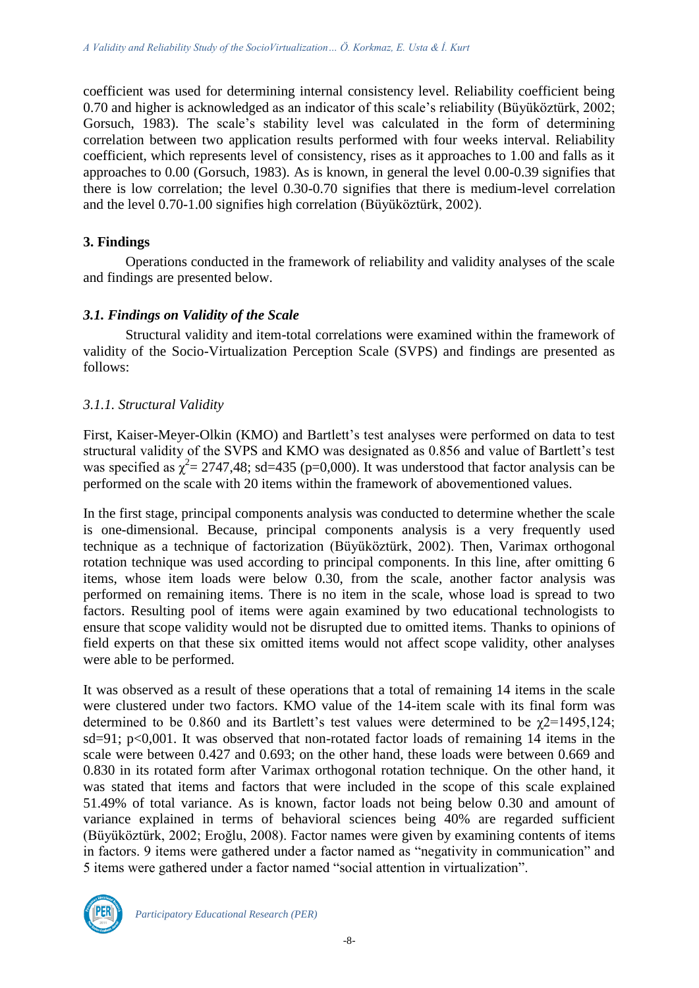coefficient was used for determining internal consistency level. Reliability coefficient being 0.70 and higher is acknowledged as an indicator of this scale's reliability (Büyüköztürk, 2002; Gorsuch, 1983). The scale's stability level was calculated in the form of determining correlation between two application results performed with four weeks interval. Reliability coefficient, which represents level of consistency, rises as it approaches to 1.00 and falls as it approaches to 0.00 (Gorsuch, 1983). As is known, in general the level 0.00-0.39 signifies that there is low correlation; the level 0.30-0.70 signifies that there is medium-level correlation and the level 0.70-1.00 signifies high correlation (Büyüköztürk, 2002).

## **3. Findings**

Operations conducted in the framework of reliability and validity analyses of the scale and findings are presented below.

## *3.1. Findings on Validity of the Scale*

Structural validity and item-total correlations were examined within the framework of validity of the Socio-Virtualization Perception Scale (SVPS) and findings are presented as follows:

# *3.1.1. Structural Validity*

First, Kaiser-Meyer-Olkin (KMO) and Bartlett's test analyses were performed on data to test structural validity of the SVPS and KMO was designated as 0.856 and value of Bartlett's test was specified as  $\chi^2$  = 2747,48; sd=435 (p=0,000). It was understood that factor analysis can be performed on the scale with 20 items within the framework of abovementioned values.

In the first stage, principal components analysis was conducted to determine whether the scale is one-dimensional. Because, principal components analysis is a very frequently used technique as a technique of factorization (Büyüköztürk, 2002). Then, Varimax orthogonal rotation technique was used according to principal components. In this line, after omitting 6 items, whose item loads were below 0.30, from the scale, another factor analysis was performed on remaining items. There is no item in the scale, whose load is spread to two factors. Resulting pool of items were again examined by two educational technologists to ensure that scope validity would not be disrupted due to omitted items. Thanks to opinions of field experts on that these six omitted items would not affect scope validity, other analyses were able to be performed.

It was observed as a result of these operations that a total of remaining 14 items in the scale were clustered under two factors. KMO value of the 14-item scale with its final form was determined to be 0.860 and its Bartlett's test values were determined to be  $\chi$ 2=1495,124; sd=91; p<0,001. It was observed that non-rotated factor loads of remaining 14 items in the scale were between 0.427 and 0.693; on the other hand, these loads were between 0.669 and 0.830 in its rotated form after Varimax orthogonal rotation technique. On the other hand, it was stated that items and factors that were included in the scope of this scale explained 51.49% of total variance. As is known, factor loads not being below 0.30 and amount of variance explained in terms of behavioral sciences being 40% are regarded sufficient (Büyüköztürk, 2002; Eroğlu, 2008). Factor names were given by examining contents of items in factors. 9 items were gathered under a factor named as "negativity in communication" and 5 items were gathered under a factor named "social attention in virtualization".

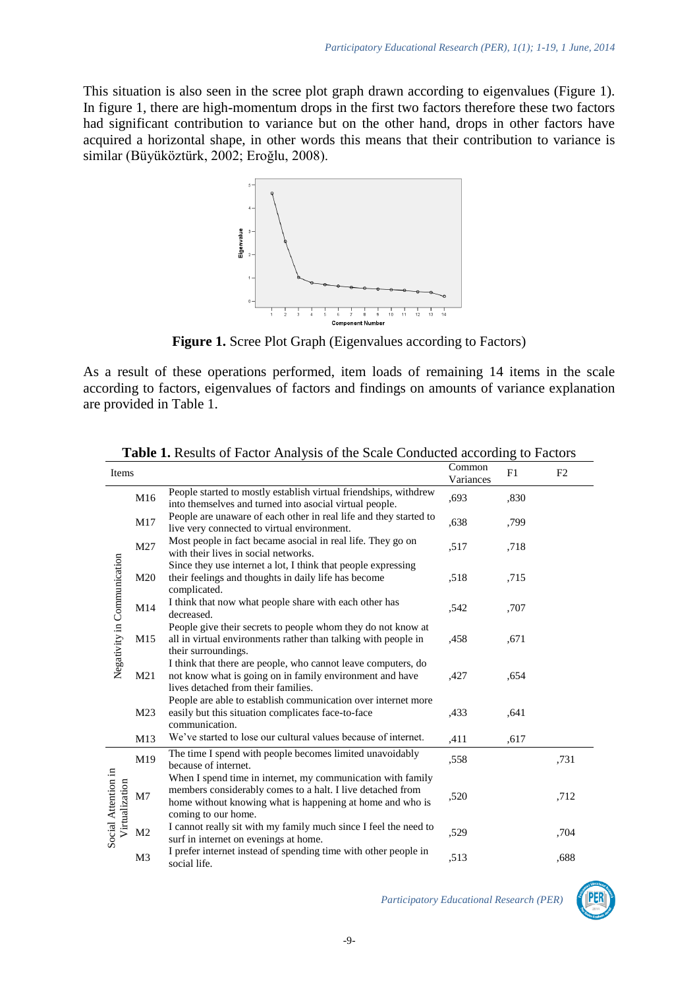This situation is also seen in the scree plot graph drawn according to eigenvalues (Figure 1). In figure 1, there are high-momentum drops in the first two factors therefore these two factors had significant contribution to variance but on the other hand, drops in other factors have acquired a horizontal shape, in other words this means that their contribution to variance is similar (Büyüköztürk, 2002; Eroğlu, 2008).



**Figure 1.** Scree Plot Graph (Eigenvalues according to Factors)

As a result of these operations performed, item loads of remaining 14 items in the scale according to factors, eigenvalues of factors and findings on amounts of variance explanation are provided in Table 1.

| Items                                 |                |                                                                                                                                                                                                               | Common<br>Variances | F1   | F <sub>2</sub> |
|---------------------------------------|----------------|---------------------------------------------------------------------------------------------------------------------------------------------------------------------------------------------------------------|---------------------|------|----------------|
|                                       | M16            | People started to mostly establish virtual friendships, withdrew<br>into themselves and turned into asocial virtual people.                                                                                   | ,693                | ,830 |                |
|                                       | M17            | People are unaware of each other in real life and they started to<br>live very connected to virtual environment.                                                                                              | ,638                | ,799 |                |
|                                       | M27            | Most people in fact became asocial in real life. They go on<br>with their lives in social networks.                                                                                                           | .517                | ,718 |                |
|                                       | M20            | Since they use internet a lot, I think that people expressing<br>their feelings and thoughts in daily life has become<br>complicated.                                                                         | ,518                | ,715 |                |
|                                       | M14            | I think that now what people share with each other has<br>decreased.                                                                                                                                          | .542                | ,707 |                |
| Negativity in Communication           | M15            | People give their secrets to people whom they do not know at<br>all in virtual environments rather than talking with people in<br>their surroundings.                                                         | .458                | ,671 |                |
|                                       | M21            | I think that there are people, who cannot leave computers, do<br>not know what is going on in family environment and have<br>lives detached from their families.                                              | ,427                | ,654 |                |
|                                       | M23            | People are able to establish communication over internet more<br>easily but this situation complicates face-to-face<br>communication.                                                                         | ,433                | .641 |                |
|                                       | M13            | We've started to lose our cultural values because of internet.                                                                                                                                                | .411                | .617 |                |
| Social Attention in<br>Virtualization | M19            | The time I spend with people becomes limited unavoidably<br>because of internet.                                                                                                                              | ,558                |      | ,731           |
|                                       | M7             | When I spend time in internet, my communication with family<br>members considerably comes to a halt. I live detached from<br>home without knowing what is happening at home and who is<br>coming to our home. | ,520                |      | .712           |
|                                       | M <sub>2</sub> | I cannot really sit with my family much since I feel the need to<br>surf in internet on evenings at home.                                                                                                     | ,529                |      | ,704           |
|                                       | M <sub>3</sub> | I prefer internet instead of spending time with other people in<br>social life.                                                                                                                               | .513                |      | .688           |

**Table 1.** Results of Factor Analysis of the Scale Conducted according to Factors

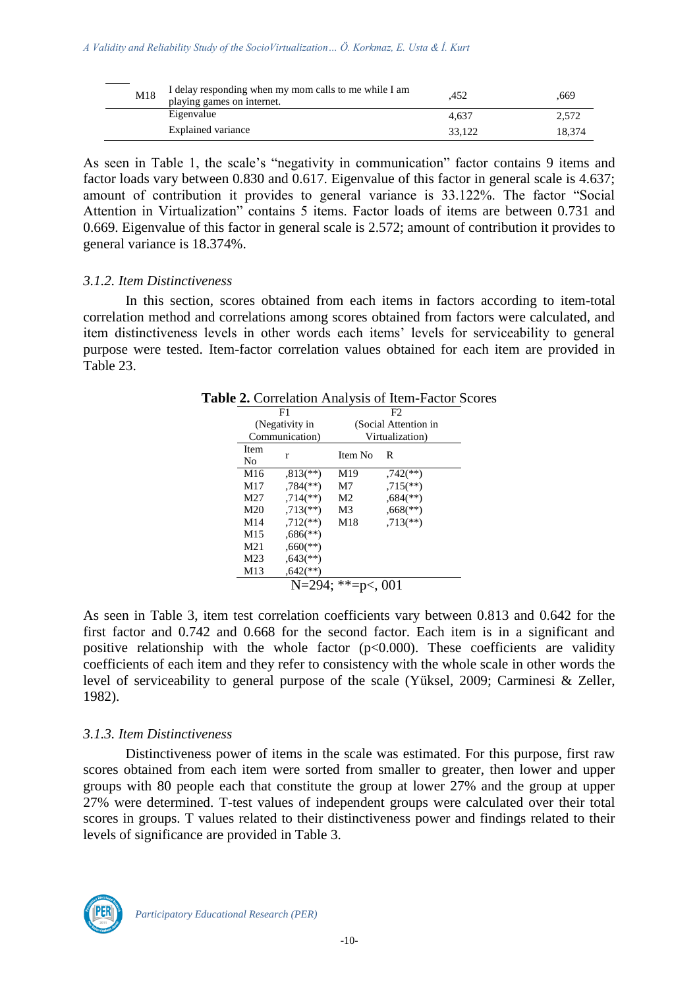| M18 | I delay responding when my mom calls to me while I am<br>playing games on internet. | .452   | .669   |
|-----|-------------------------------------------------------------------------------------|--------|--------|
|     | Eigenvalue                                                                          | 4.637  | 2.572  |
|     | Explained variance                                                                  | 33.122 | 18.374 |

As seen in Table 1, the scale's "negativity in communication" factor contains 9 items and factor loads vary between 0.830 and 0.617. Eigenvalue of this factor in general scale is 4.637; amount of contribution it provides to general variance is 33.122%. The factor "Social Attention in Virtualization" contains 5 items. Factor loads of items are between 0.731 and 0.669. Eigenvalue of this factor in general scale is 2.572; amount of contribution it provides to general variance is 18.374%.

#### *3.1.2. Item Distinctiveness*

In this section, scores obtained from each items in factors according to item-total correlation method and correlations among scores obtained from factors were calculated, and item distinctiveness levels in other words each items' levels for serviceability to general purpose were tested. Item-factor correlation values obtained for each item are provided in Table 23.

|                 | F1<br>(Negativity in<br>Communication) |                | F <sub>2</sub>            |  |  |
|-----------------|----------------------------------------|----------------|---------------------------|--|--|
|                 |                                        |                | (Social Attention in      |  |  |
|                 |                                        |                | Virtualization)           |  |  |
| Item<br>No      | r                                      | Item No        | R                         |  |  |
| M16             | $,813$ <sup>**</sup> )                 | M19            | $,742$ <sup>**</sup> )    |  |  |
| M17             | $,784$ <sup>(**)</sup> )               | M7             | $,715$ <sup>**</sup> )    |  |  |
| M27             | $.714$ <sup>(**)</sup> )               | M <sub>2</sub> | $0.684$ <sup>(**)</sup> ) |  |  |
| M <sub>20</sub> | $,713$ <sup>**</sup> )                 | M <sub>3</sub> | $0.668$ <sup>(**)</sup> ) |  |  |
| M14             | $.712$ <sup>**</sup> )                 | M18            | $.713$ <sup>**</sup> )    |  |  |
| M15             | $0.686$ <sup>(**)</sup> )              |                |                           |  |  |
| M <sub>21</sub> | $0.660$ <sup>(**)</sup>                |                |                           |  |  |
| M23             | $0.643$ <sup>**</sup> )                |                |                           |  |  |
| M13             | $,642$ <sup>**</sup> )                 |                |                           |  |  |

As seen in Table 3, item test correlation coefficients vary between 0.813 and 0.642 for the first factor and 0.742 and 0.668 for the second factor. Each item is in a significant and positive relationship with the whole factor  $(p<0.000)$ . These coefficients are validity coefficients of each item and they refer to consistency with the whole scale in other words the level of serviceability to general purpose of the scale (Yüksel, 2009; Carminesi & Zeller, 1982).

#### *3.1.3. Item Distinctiveness*

Distinctiveness power of items in the scale was estimated. For this purpose, first raw scores obtained from each item were sorted from smaller to greater, then lower and upper groups with 80 people each that constitute the group at lower 27% and the group at upper 27% were determined. T-test values of independent groups were calculated over their total scores in groups. T values related to their distinctiveness power and findings related to their levels of significance are provided in Table 3.

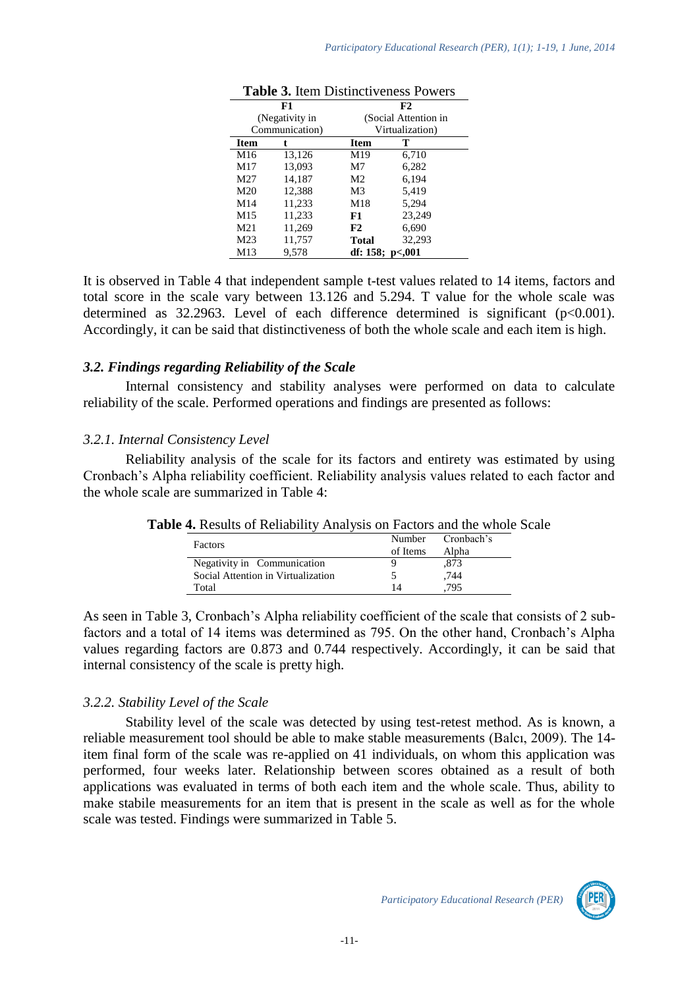| <b>Table 3.</b> Rent Districtiveness Fowers |                |                      |                      |  |  |
|---------------------------------------------|----------------|----------------------|----------------------|--|--|
| F1                                          |                | F2                   |                      |  |  |
|                                             | (Negativity in |                      | (Social Attention in |  |  |
| Communication)                              |                |                      | Virtualization)      |  |  |
| <b>Item</b>                                 | t              | Item                 | т                    |  |  |
| M16                                         | 13,126         | M19                  | 6,710                |  |  |
| M17                                         | 13,093         | M7                   | 6,282                |  |  |
| M27                                         | 14,187         | M <sub>2</sub>       | 6.194                |  |  |
| M20                                         | 12,388         | M <sub>3</sub>       | 5,419                |  |  |
| M14                                         | 11,233         | M18                  | 5,294                |  |  |
| M15                                         | 11,233         | F1                   | 23,249               |  |  |
| M21                                         | 11,269         | F2                   | 6,690                |  |  |
| M <sub>23</sub>                             | 11,757         | Total                | 32,293               |  |  |
| M13                                         | 9.578          | df: $158$ ; $p<.001$ |                      |  |  |

It is observed in Table 4 that independent sample t-test values related to 14 items, factors and total score in the scale vary between 13.126 and 5.294. T value for the whole scale was determined as 32.2963. Level of each difference determined is significant (p<0.001). Accordingly, it can be said that distinctiveness of both the whole scale and each item is high.

## *3.2. Findings regarding Reliability of the Scale*

Internal consistency and stability analyses were performed on data to calculate reliability of the scale. Performed operations and findings are presented as follows:

## *3.2.1. Internal Consistency Level*

Reliability analysis of the scale for its factors and entirety was estimated by using Cronbach's Alpha reliability coefficient. Reliability analysis values related to each factor and the whole scale are summarized in Table 4:

| $\tau$ . Results of Reflamily Alialysis on Factors and the whole |          |                   |
|------------------------------------------------------------------|----------|-------------------|
| Factors                                                          |          | Number Cronbach's |
|                                                                  | of Items | Alpha             |
| Negativity in Communication                                      |          | .873              |
| Social Attention in Virtualization                               | C        | .744              |
| Total                                                            | 14       | .795              |

**Table 4.** Results of Reliability Analysis on Factors and the whole Scale

As seen in Table 3, Cronbach's Alpha reliability coefficient of the scale that consists of 2 subfactors and a total of 14 items was determined as 795. On the other hand, Cronbach's Alpha values regarding factors are 0.873 and 0.744 respectively. Accordingly, it can be said that internal consistency of the scale is pretty high.

# *3.2.2. Stability Level of the Scale*

Stability level of the scale was detected by using test-retest method. As is known, a reliable measurement tool should be able to make stable measurements (Balcı, 2009). The 14 item final form of the scale was re-applied on 41 individuals, on whom this application was performed, four weeks later. Relationship between scores obtained as a result of both applications was evaluated in terms of both each item and the whole scale. Thus, ability to make stabile measurements for an item that is present in the scale as well as for the whole scale was tested. Findings were summarized in Table 5.

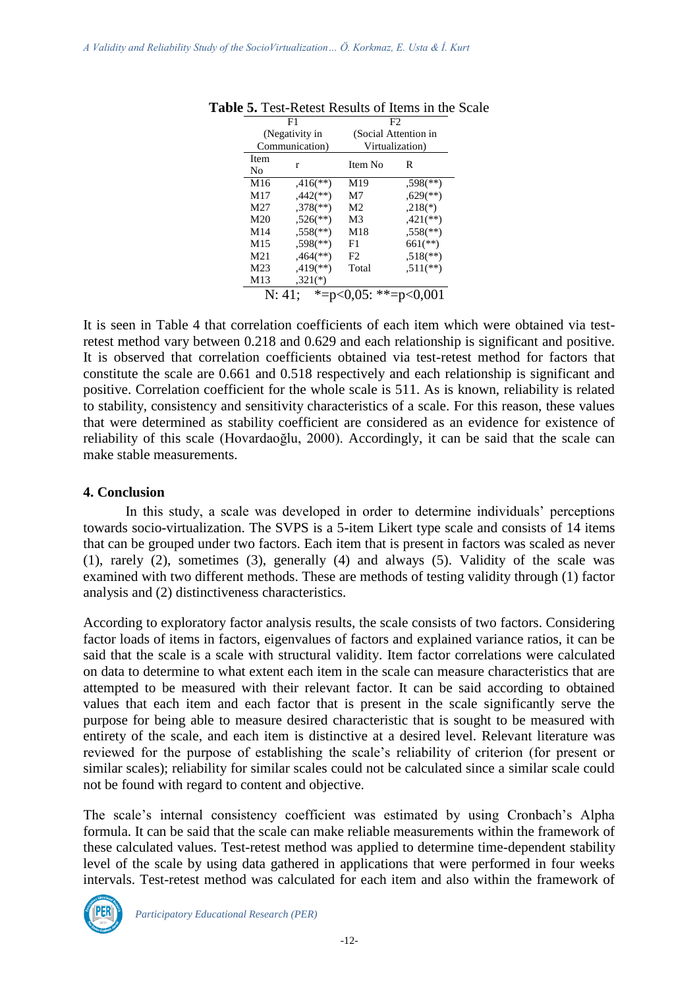|      | F1                       |                | F2                        |  |
|------|--------------------------|----------------|---------------------------|--|
|      | (Negativity in           |                | (Social Attention in      |  |
|      | Communication)           |                | Virtualization)           |  |
| Item |                          |                |                           |  |
| No   | r                        | Item No        | R                         |  |
| M16  | $.416$ <sup>**</sup> )   | M19            | $,598$ <sup>(**)</sup> )  |  |
| M17  | $.442$ <sup>(**)</sup> ) | M7             | $0.629$ <sup>(**)</sup> ) |  |
| M27  | $,378$ <sup>(**)</sup> ) | M <sub>2</sub> | $,218(*)$                 |  |
| M20  | $.526$ <sup>(**)</sup> ) | M3             | $,421$ (**)               |  |
| M14  | $.558$ <sup>(**)</sup>   | M18            | $.558$ <sup>(**)</sup> )  |  |
| M15  | $.598$ <sup>(**)</sup> ) | F1             | $661$ (**)                |  |
| M21  | $464$ <sup>(**)</sup> )  | F <sub>2</sub> | $.518$ <sup>**</sup> )    |  |
| M23  | $.419$ <sup>(**)</sup> ) | Total          | $.511$ (**)               |  |
| M13  | $,321(*)$                |                |                           |  |
|      | $*_{=}$<br>N: 41;        | **-            |                           |  |

**Table 5.** Test-Retest Results of Items in the Scale

It is seen in Table 4 that correlation coefficients of each item which were obtained via testretest method vary between 0.218 and 0.629 and each relationship is significant and positive. It is observed that correlation coefficients obtained via test-retest method for factors that constitute the scale are 0.661 and 0.518 respectively and each relationship is significant and positive. Correlation coefficient for the whole scale is 511. As is known, reliability is related to stability, consistency and sensitivity characteristics of a scale. For this reason, these values that were determined as stability coefficient are considered as an evidence for existence of reliability of this scale (Hovardaoğlu, 2000). Accordingly, it can be said that the scale can make stable measurements.

#### **4. Conclusion**

In this study, a scale was developed in order to determine individuals' perceptions towards socio-virtualization. The SVPS is a 5-item Likert type scale and consists of 14 items that can be grouped under two factors. Each item that is present in factors was scaled as never (1), rarely (2), sometimes (3), generally (4) and always (5). Validity of the scale was examined with two different methods. These are methods of testing validity through (1) factor analysis and (2) distinctiveness characteristics.

According to exploratory factor analysis results, the scale consists of two factors. Considering factor loads of items in factors, eigenvalues of factors and explained variance ratios, it can be said that the scale is a scale with structural validity. Item factor correlations were calculated on data to determine to what extent each item in the scale can measure characteristics that are attempted to be measured with their relevant factor. It can be said according to obtained values that each item and each factor that is present in the scale significantly serve the purpose for being able to measure desired characteristic that is sought to be measured with entirety of the scale, and each item is distinctive at a desired level. Relevant literature was reviewed for the purpose of establishing the scale's reliability of criterion (for present or similar scales); reliability for similar scales could not be calculated since a similar scale could not be found with regard to content and objective.

The scale's internal consistency coefficient was estimated by using Cronbach's Alpha formula. It can be said that the scale can make reliable measurements within the framework of these calculated values. Test-retest method was applied to determine time-dependent stability level of the scale by using data gathered in applications that were performed in four weeks intervals. Test-retest method was calculated for each item and also within the framework of

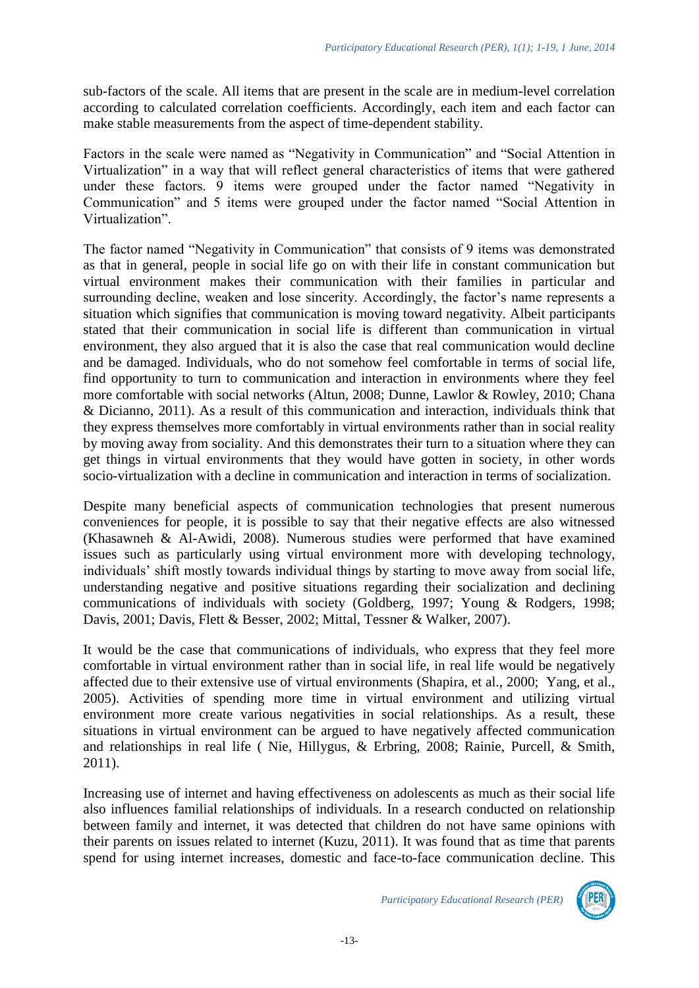sub-factors of the scale. All items that are present in the scale are in medium-level correlation according to calculated correlation coefficients. Accordingly, each item and each factor can make stable measurements from the aspect of time-dependent stability.

Factors in the scale were named as "Negativity in Communication" and "Social Attention in Virtualization" in a way that will reflect general characteristics of items that were gathered under these factors. 9 items were grouped under the factor named "Negativity in Communication" and 5 items were grouped under the factor named "Social Attention in Virtualization".

The factor named "Negativity in Communication" that consists of 9 items was demonstrated as that in general, people in social life go on with their life in constant communication but virtual environment makes their communication with their families in particular and surrounding decline, weaken and lose sincerity. Accordingly, the factor's name represents a situation which signifies that communication is moving toward negativity. Albeit participants stated that their communication in social life is different than communication in virtual environment, they also argued that it is also the case that real communication would decline and be damaged. Individuals, who do not somehow feel comfortable in terms of social life, find opportunity to turn to communication and interaction in environments where they feel more comfortable with social networks (Altun, 2008; Dunne, Lawlor & Rowley, 2010; Chana & Dicianno, 2011). As a result of this communication and interaction, individuals think that they express themselves more comfortably in virtual environments rather than in social reality by moving away from sociality. And this demonstrates their turn to a situation where they can get things in virtual environments that they would have gotten in society, in other words socio-virtualization with a decline in communication and interaction in terms of socialization.

Despite many beneficial aspects of communication technologies that present numerous conveniences for people, it is possible to say that their negative effects are also witnessed (Khasawneh & Al-Awidi, 2008). Numerous studies were performed that have examined issues such as particularly using virtual environment more with developing technology, individuals' shift mostly towards individual things by starting to move away from social life, understanding negative and positive situations regarding their socialization and declining communications of individuals with society (Goldberg, 1997; Young & Rodgers, 1998; Davis, 2001; Davis, Flett & Besser, 2002; Mittal, Tessner & Walker, 2007).

It would be the case that communications of individuals, who express that they feel more comfortable in virtual environment rather than in social life, in real life would be negatively affected due to their extensive use of virtual environments (Shapira, et al., 2000; Yang, et al., 2005). Activities of spending more time in virtual environment and utilizing virtual environment more create various negativities in social relationships. As a result, these situations in virtual environment can be argued to have negatively affected communication and relationships in real life ( Nie, Hillygus, & Erbring, 2008; Rainie, Purcell, & Smith, 2011).

Increasing use of internet and having effectiveness on adolescents as much as their social life also influences familial relationships of individuals. In a research conducted on relationship between family and internet, it was detected that children do not have same opinions with their parents on issues related to internet (Kuzu, 2011). It was found that as time that parents spend for using internet increases, domestic and face-to-face communication decline. This

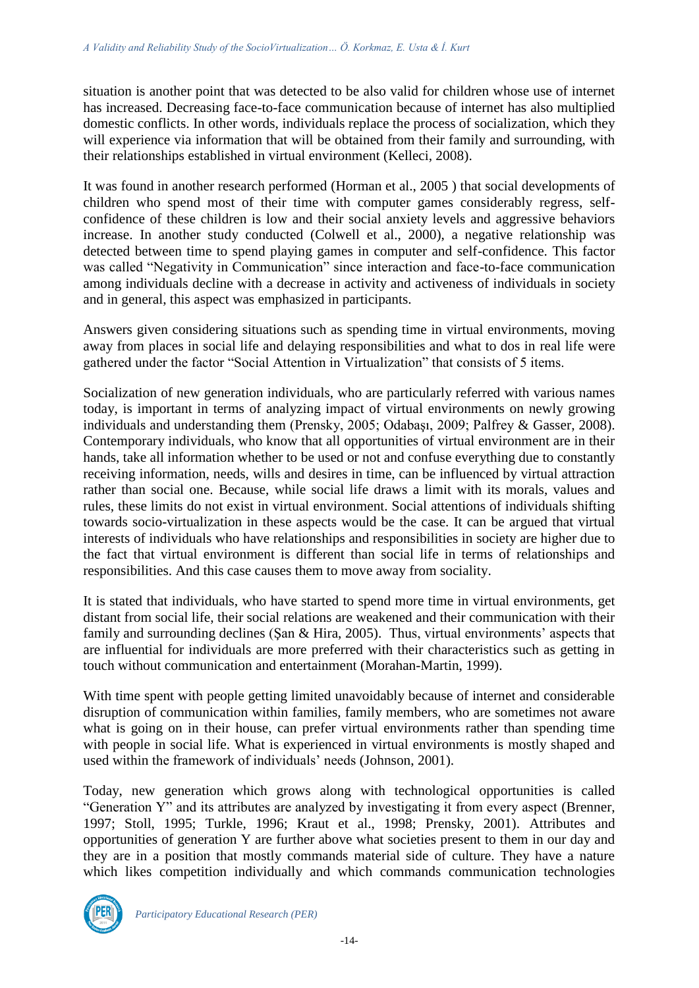situation is another point that was detected to be also valid for children whose use of internet has increased. Decreasing face-to-face communication because of internet has also multiplied domestic conflicts. In other words, individuals replace the process of socialization, which they will experience via information that will be obtained from their family and surrounding, with their relationships established in virtual environment (Kelleci, 2008).

It was found in another research performed (Horman et al., 2005 ) that social developments of children who spend most of their time with computer games considerably regress, selfconfidence of these children is low and their social anxiety levels and aggressive behaviors increase. In another study conducted (Colwell et al., 2000), a negative relationship was detected between time to spend playing games in computer and self-confidence. This factor was called "Negativity in Communication" since interaction and face-to-face communication among individuals decline with a decrease in activity and activeness of individuals in society and in general, this aspect was emphasized in participants.

Answers given considering situations such as spending time in virtual environments, moving away from places in social life and delaying responsibilities and what to dos in real life were gathered under the factor "Social Attention in Virtualization" that consists of 5 items.

Socialization of new generation individuals, who are particularly referred with various names today, is important in terms of analyzing impact of virtual environments on newly growing individuals and understanding them (Prensky, 2005; Odabaşı, 2009; Palfrey & Gasser, 2008). Contemporary individuals, who know that all opportunities of virtual environment are in their hands, take all information whether to be used or not and confuse everything due to constantly receiving information, needs, wills and desires in time, can be influenced by virtual attraction rather than social one. Because, while social life draws a limit with its morals, values and rules, these limits do not exist in virtual environment. Social attentions of individuals shifting towards socio-virtualization in these aspects would be the case. It can be argued that virtual interests of individuals who have relationships and responsibilities in society are higher due to the fact that virtual environment is different than social life in terms of relationships and responsibilities. And this case causes them to move away from sociality.

It is stated that individuals, who have started to spend more time in virtual environments, get distant from social life, their social relations are weakened and their communication with their family and surrounding declines (Şan & Hira, 2005). Thus, virtual environments' aspects that are influential for individuals are more preferred with their characteristics such as getting in touch without communication and entertainment (Morahan-Martin, 1999).

With time spent with people getting limited unavoidably because of internet and considerable disruption of communication within families, family members, who are sometimes not aware what is going on in their house, can prefer virtual environments rather than spending time with people in social life. What is experienced in virtual environments is mostly shaped and used within the framework of individuals' needs (Johnson, 2001).

Today, new generation which grows along with technological opportunities is called "Generation Y" and its attributes are analyzed by investigating it from every aspect (Brenner, 1997; Stoll, 1995; Turkle, 1996; Kraut et al., 1998; Prensky, 2001). Attributes and opportunities of generation Y are further above what societies present to them in our day and they are in a position that mostly commands material side of culture. They have a nature which likes competition individually and which commands communication technologies

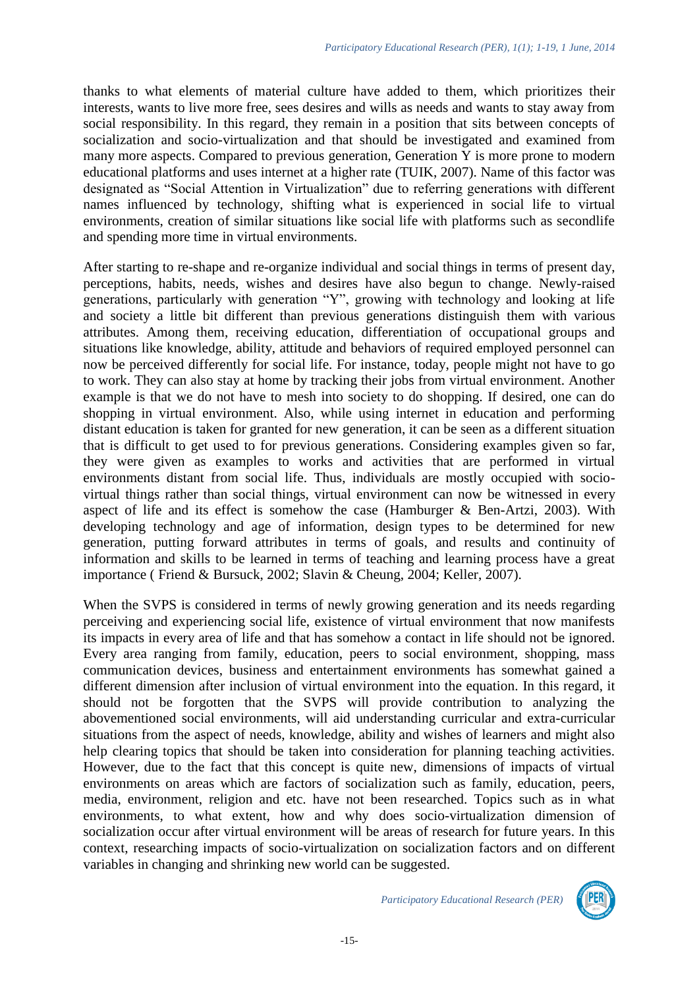thanks to what elements of material culture have added to them, which prioritizes their interests, wants to live more free, sees desires and wills as needs and wants to stay away from social responsibility. In this regard, they remain in a position that sits between concepts of socialization and socio-virtualization and that should be investigated and examined from many more aspects. Compared to previous generation, Generation Y is more prone to modern educational platforms and uses internet at a higher rate (TUIK, 2007). Name of this factor was designated as "Social Attention in Virtualization" due to referring generations with different names influenced by technology, shifting what is experienced in social life to virtual environments, creation of similar situations like social life with platforms such as secondlife and spending more time in virtual environments.

After starting to re-shape and re-organize individual and social things in terms of present day, perceptions, habits, needs, wishes and desires have also begun to change. Newly-raised generations, particularly with generation "Y", growing with technology and looking at life and society a little bit different than previous generations distinguish them with various attributes. Among them, receiving education, differentiation of occupational groups and situations like knowledge, ability, attitude and behaviors of required employed personnel can now be perceived differently for social life. For instance, today, people might not have to go to work. They can also stay at home by tracking their jobs from virtual environment. Another example is that we do not have to mesh into society to do shopping. If desired, one can do shopping in virtual environment. Also, while using internet in education and performing distant education is taken for granted for new generation, it can be seen as a different situation that is difficult to get used to for previous generations. Considering examples given so far, they were given as examples to works and activities that are performed in virtual environments distant from social life. Thus, individuals are mostly occupied with sociovirtual things rather than social things, virtual environment can now be witnessed in every aspect of life and its effect is somehow the case (Hamburger & Ben-Artzi, 2003). With developing technology and age of information, design types to be determined for new generation, putting forward attributes in terms of goals, and results and continuity of information and skills to be learned in terms of teaching and learning process have a great importance ( Friend & Bursuck, 2002; Slavin & Cheung, 2004; Keller, 2007).

When the SVPS is considered in terms of newly growing generation and its needs regarding perceiving and experiencing social life, existence of virtual environment that now manifests its impacts in every area of life and that has somehow a contact in life should not be ignored. Every area ranging from family, education, peers to social environment, shopping, mass communication devices, business and entertainment environments has somewhat gained a different dimension after inclusion of virtual environment into the equation. In this regard, it should not be forgotten that the SVPS will provide contribution to analyzing the abovementioned social environments, will aid understanding curricular and extra-curricular situations from the aspect of needs, knowledge, ability and wishes of learners and might also help clearing topics that should be taken into consideration for planning teaching activities. However, due to the fact that this concept is quite new, dimensions of impacts of virtual environments on areas which are factors of socialization such as family, education, peers, media, environment, religion and etc. have not been researched. Topics such as in what environments, to what extent, how and why does socio-virtualization dimension of socialization occur after virtual environment will be areas of research for future years. In this context, researching impacts of socio-virtualization on socialization factors and on different variables in changing and shrinking new world can be suggested.

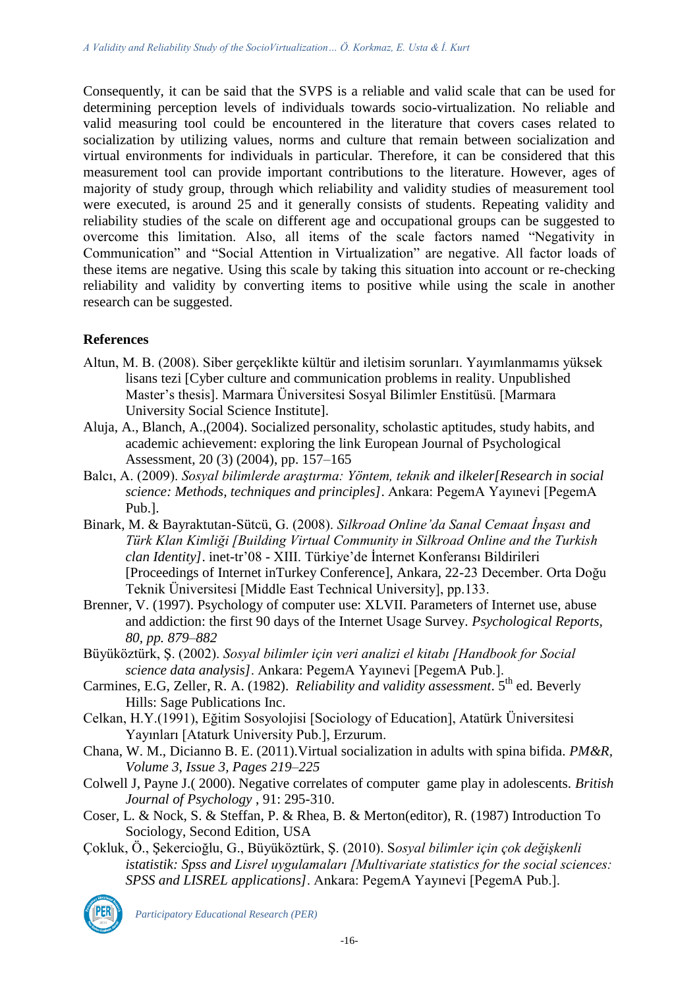Consequently, it can be said that the SVPS is a reliable and valid scale that can be used for determining perception levels of individuals towards socio-virtualization. No reliable and valid measuring tool could be encountered in the literature that covers cases related to socialization by utilizing values, norms and culture that remain between socialization and virtual environments for individuals in particular. Therefore, it can be considered that this measurement tool can provide important contributions to the literature. However, ages of majority of study group, through which reliability and validity studies of measurement tool were executed, is around 25 and it generally consists of students. Repeating validity and reliability studies of the scale on different age and occupational groups can be suggested to overcome this limitation. Also, all items of the scale factors named "Negativity in Communication" and "Social Attention in Virtualization" are negative. All factor loads of these items are negative. Using this scale by taking this situation into account or re-checking reliability and validity by converting items to positive while using the scale in another research can be suggested.

# **References**

- Altun, M. B. (2008). Siber gerçeklikte kültür and iletisim sorunları. Yayımlanmamıs yüksek lisans tezi [Cyber culture and communication problems in reality. Unpublished Master's thesis]. Marmara Üniversitesi Sosyal Bilimler Enstitüsü. [Marmara University Social Science Institute].
- Aluja, A., Blanch, A.,(2004). Socialized personality, scholastic aptitudes, study habits, and academic achievement: exploring the link European Journal of Psychological Assessment, 20 (3) (2004), pp. 157–165
- Balcı, A. (2009). *Sosyal bilimlerde araştırma: Yöntem, teknik and ilkeler[Research in social science: Methods, techniques and principles]*. Ankara: PegemA Yayınevi [PegemA Pub.].
- Binark, M. & Bayraktutan-Sütcü, G. (2008). *Silkroad Online'da Sanal Cemaat İnşası and Türk Klan Kimliği [Building Virtual Community in Silkroad Online and the Turkish clan Identity]*. inet-tr'08 - XIII. Türkiye'de İnternet Konferansı Bildirileri [Proceedings of Internet inTurkey Conference], Ankara, 22-23 December. Orta Doğu Teknik Üniversitesi [Middle East Technical University], pp.133.
- Brenner, V. (1997). Psychology of computer use: XLVII. Parameters of Internet use, abuse and addiction: the first 90 days of the Internet Usage Survey. *Psychological Reports, 80, pp. 879–882*
- Büyüköztürk, Ş. (2002). *Sosyal bilimler için veri analizi el kitabı [Handbook for Social science data analysis]*. Ankara: PegemA Yayınevi [PegemA Pub.].
- Carmines, E.G, Zeller, R. A. (1982). *Reliability and validity assessment*. 5<sup>th</sup> ed. Beverly Hills: Sage Publications Inc.
- Celkan, H.Y.(1991), Eğitim Sosyolojisi [Sociology of Education], Atatürk Üniversitesi Yayınları [Ataturk University Pub.], Erzurum.
- Chana, W. M., Dicianno B. E. (2011).Virtual socialization in adults with spina bifida. *PM&R, Volume 3, Issue 3, Pages 219–225*
- Colwell J, Payne J.( 2000). Negative correlates of computer game play in adolescents. *British Journal of Psychology* , 91: 295-310.
- Coser, L. & Nock, S. & Steffan, P. & Rhea, B. & Merton(editor), R. (1987) Introduction To Sociology, Second Edition, USA
- Çokluk, Ö., Şekercioğlu, G., Büyüköztürk, Ş. (2010). S*osyal bilimler için çok değişkenli istatistik: Spss and Lisrel uygulamaları [Multivariate statistics for the social sciences: SPSS and LISREL applications]*. Ankara: PegemA Yayınevi [PegemA Pub.].

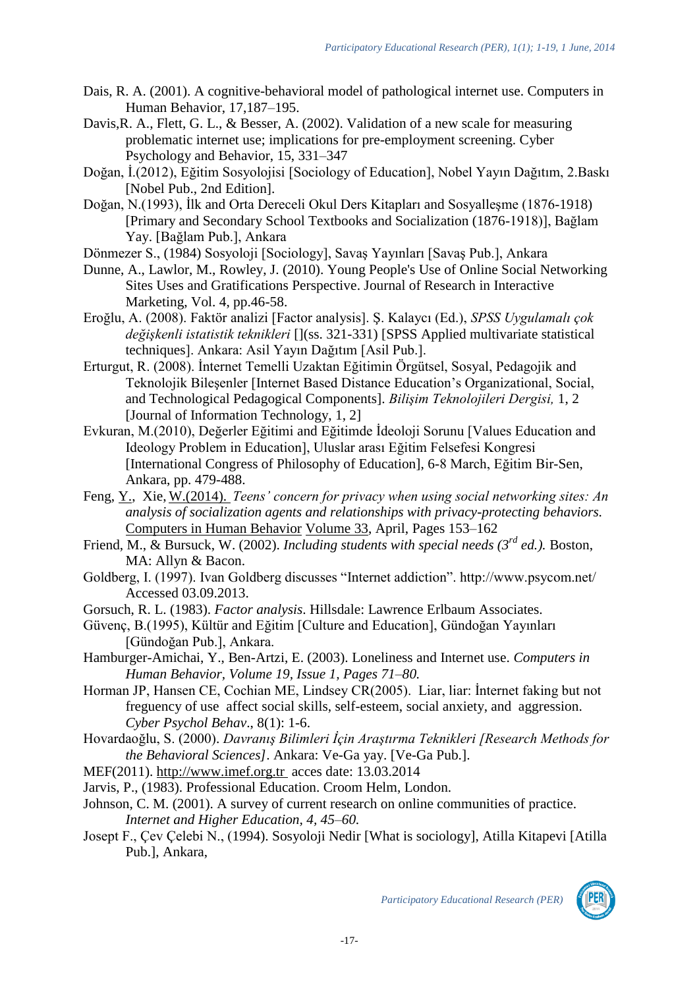- Dais, R. A. (2001). A cognitive-behavioral model of pathological internet use. Computers in Human Behavior, 17,187–195.
- Davis, R. A., Flett, G. L., & Besser, A. (2002). Validation of a new scale for measuring problematic internet use; implications for pre-employment screening. Cyber Psychology and Behavior, 15, 331–347
- Doğan, İ.(2012), Eğitim Sosyolojisi [Sociology of Education], Nobel Yayın Dağıtım, 2.Baskı [Nobel Pub., 2nd Edition].
- Doğan, N.(1993), İlk and Orta Dereceli Okul Ders Kitapları and Sosyalleşme (1876-1918) [Primary and Secondary School Textbooks and Socialization (1876-1918)], Bağlam Yay. [Bağlam Pub.], Ankara
- Dönmezer S., (1984) Sosyoloji [Sociology], Savaş Yayınları [Savaş Pub.], Ankara
- Dunne, A., Lawlor, M., Rowley, J. (2010). Young People's Use of Online Social Networking Sites Uses and Gratifications Perspective. Journal of Research in Interactive Marketing, Vol. 4, pp.46-58.
- Eroğlu, A. (2008). Faktör analizi [Factor analysis]. Ş. Kalaycı (Ed.), *SPSS Uygulamalı çok değişkenli istatistik teknikleri* [](ss. 321-331) [SPSS Applied multivariate statistical techniques]. Ankara: Asil Yayın Dağıtım [Asil Pub.].
- Erturgut, R. (2008). İnternet Temelli Uzaktan Eğitimin Örgütsel, Sosyal, Pedagojik and Teknolojik Bileşenler [Internet Based Distance Education's Organizational, Social, and Technological Pedagogical Components]. *Bilişim Teknolojileri Dergisi,* 1, 2 [Journal of Information Technology, 1, 2]
- Evkuran, M.(2010), Değerler Eğitimi and Eğitimde İdeoloji Sorunu [Values Education and Ideology Problem in Education], Uluslar arası Eğitim Felsefesi Kongresi [International Congress of Philosophy of Education], 6-8 March, Eğitim Bir-Sen, Ankara, pp. 479-488.
- Feng, [Y.,](http://www.sciencedirect.com/science/article/pii/S0747563214000144) Xie, [W.\(2014\).](http://www.sciencedirect.com/science/article/pii/S0747563214000144) *Teens' concern for privacy when using social networking sites: An analysis of socialization agents and relationships with privacy-protecting behaviors.*  [Computers in Human Behavior](http://www.sciencedirect.com/science/journal/07475632) [Volume 33,](http://www.sciencedirect.com/science/journal/07475632/33/supp/C) April, Pages 153–162
- Friend, M., & Bursuck, W. (2002). *Including students with special needs (3rd ed.).* Boston, MA: Allyn & Bacon.
- Goldberg, I. (1997). Ivan Goldberg discusses "Internet addiction". http://www.psycom.net/ Accessed 03.09.2013.
- Gorsuch, R. L. (1983). *Factor analysis*. Hillsdale: Lawrence Erlbaum Associates.
- Güvenç, B.(1995), Kültür and Eğitim [Culture and Education], Gündoğan Yayınları [Gündoğan Pub.], Ankara.
- Hamburger-Amichai, Y., Ben-Artzi, E. (2003). Loneliness and Internet use. *Computers in Human Behavior, Volume 19, Issue 1, Pages 71–80.*
- Horman JP, Hansen CE, Cochian ME, Lindsey CR(2005). Liar, liar: İnternet faking but not freguency of use affect social skills, self-esteem, social anxiety, and aggression. *Cyber Psychol Behav*., 8(1): 1-6.
- Hovardaoğlu, S. (2000). *Davranış Bilimleri İçin Araştırma Teknikleri [Research Methods for the Behavioral Sciences]*. Ankara: Ve-Ga yay. [Ve-Ga Pub.].
- MEF(2011). [http://www.imef.org.tr](http://www.imef.org.tr/) acces date: 13.03.2014
- Jarvis, P., (1983). Professional Education. Croom Helm, London.
- Johnson, C. M. (2001). A survey of current research on online communities of practice. *Internet and Higher Education, 4, 45–60.*
- Josept F., Çev Çelebi N., (1994). Sosyoloji Nedir [What is sociology], Atilla Kitapevi [Atilla Pub.], Ankara,

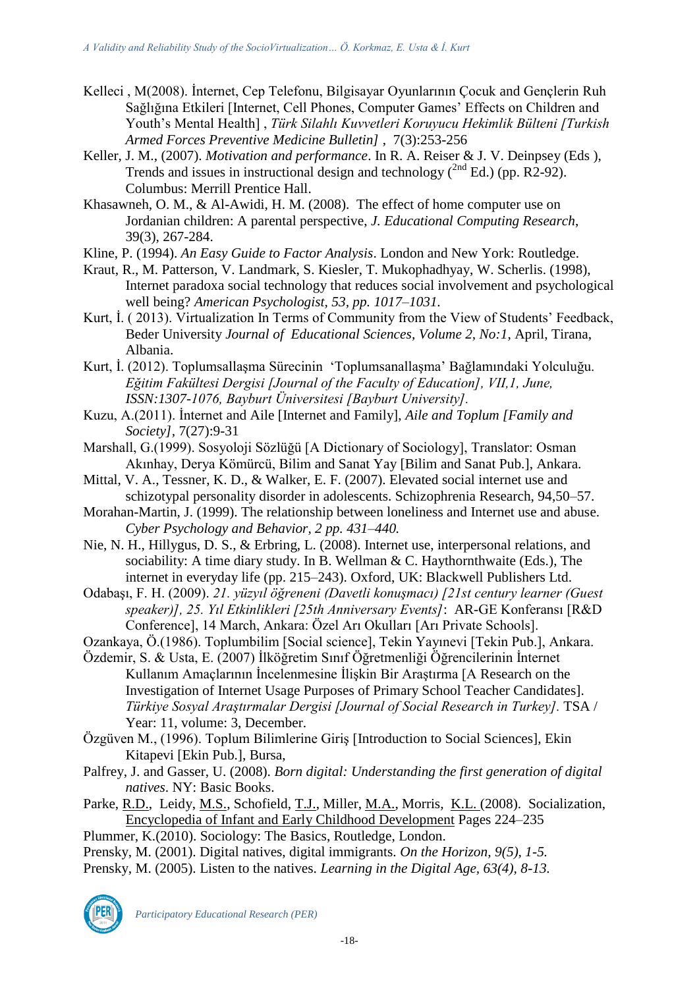- Kelleci , M(2008). İnternet, Cep Telefonu, Bilgisayar Oyunlarının Çocuk and Gençlerin Ruh Sağlığına Etkileri [Internet, Cell Phones, Computer Games' Effects on Children and Youth's Mental Health] , *Türk Silahlı Kuvvetleri Koruyucu Hekimlik Bülteni [Turkish Armed Forces Preventive Medicine Bulletin]* , 7(3):253-256
- Keller, J. M., (2007). *Motivation and performance*. In R. A. Reiser & J. V. Deinpsey (Eds ), Trends and issues in instructional design and technology  $(^{2nd}$  Ed.) (pp. R2-92). Columbus: Merrill Prentice Hall.
- Khasawneh, O. M., & Al-Awidi, H. M. (2008). The effect of home computer use on Jordanian children: A parental perspective, *J. Educational Computing Research*, 39(3), 267-284.
- Kline, P. (1994). *An Easy Guide to Factor Analysis*. London and New York: Routledge.
- Kraut, R., M. Patterson, V. Landmark, S. Kiesler, T. Mukophadhyay, W. Scherlis. (1998), Internet paradoxa social technology that reduces social involvement and psychological well being? *American Psychologist, 53, pp. 1017–1031.*
- Kurt, İ. ( 2013). Virtualization In Terms of Community from the View of Students' Feedback, Beder University *Journal of Educational Sciences, Volume 2, No:1*, April, Tirana, Albania.
- Kurt, İ. (2012). Toplumsallaşma Sürecinin 'Toplumsanallaşma' Bağlamındaki Yolculuğu. *Eğitim Fakültesi Dergisi [Journal of the Faculty of Education], VII,1, June, ISSN:1307-1076, Bayburt Üniversitesi [Bayburt University].*
- Kuzu, A.(2011). İnternet and Aile [Internet and Family], *Aile and Toplum [Family and Society],* 7(27):9-31
- Marshall, G.(1999). Sosyoloji Sözlüğü [A Dictionary of Sociology], Translator: Osman Akınhay, Derya Kömürcü, Bilim and Sanat Yay [Bilim and Sanat Pub.], Ankara.
- Mittal, V. A., Tessner, K. D., & Walker, E. F. (2007). Elevated social internet use and schizotypal personality disorder in adolescents. Schizophrenia Research, 94,50–57.
- Morahan-Martin, J. (1999). The relationship between loneliness and Internet use and abuse. *Cyber Psychology and Behavior, 2 pp. 431–440.*
- Nie, N. H., Hillygus, D. S., & Erbring, L. (2008). Internet use, interpersonal relations, and sociability: A time diary study. In B. Wellman & C. Haythornthwaite (Eds.), The internet in everyday life (pp. 215–243). Oxford, UK: Blackwell Publishers Ltd.
- Odabaşı, F. H. (2009). *21. yüzyıl öğreneni (Davetli konuşmacı) [21st century learner (Guest speaker)], 25. Yıl Etkinlikleri [25th Anniversary Events]*: AR-GE Konferansı [R&D Conference], 14 March, Ankara: Özel Arı Okulları [Arı Private Schools].
- Ozankaya, Ö.(1986). Toplumbilim [Social science], Tekin Yayınevi [Tekin Pub.], Ankara.
- Özdemir, S. & Usta, E. (2007) İlköğretim Sınıf Öğretmenliği Öğrencilerinin İnternet Kullanım Amaçlarının İncelenmesine İlişkin Bir Araştırma [A Research on the Investigation of Internet Usage Purposes of Primary School Teacher Candidates]. *Türkiye Sosyal Araştırmalar Dergisi [Journal of Social Research in Turkey].* TSA / Year: 11, volume: 3, December.
- Özgüven M., (1996). Toplum Bilimlerine Giriş [Introduction to Social Sciences], Ekin Kitapevi [Ekin Pub.], Bursa,
- Palfrey, J. and Gasser, U. (2008). *Born digital: Understanding the first generation of digital natives*. NY: Basic Books.
- Parke, [R.D.,](http://www.sciencedirect.com/science/article/pii/B9780123708779001523) Leidy, [M.S.,](http://www.sciencedirect.com/science/article/pii/B9780123708779001523) Schofield, [T.J.,](http://www.sciencedirect.com/science/article/pii/B9780123708779001523) Miller, [M.A.,](http://www.sciencedirect.com/science/article/pii/B9780123708779001523) Morris, [K.L. \(](http://www.sciencedirect.com/science/article/pii/B9780123708779001523)2008). Socialization, [Encyclopedia of Infant and Early Childhood Development](http://www.sciencedirect.com/science/referenceworks/9780123708779) Pages 224–235

Plummer, K.(2010). Sociology: The Basics, Routledge, London.

- Prensky, M. (2001). Digital natives, digital immigrants. *On the Horizon, 9(5), 1-5.*
- Prensky, M. (2005). Listen to the natives. *Learning in the Digital Age, 63(4), 8-13.*